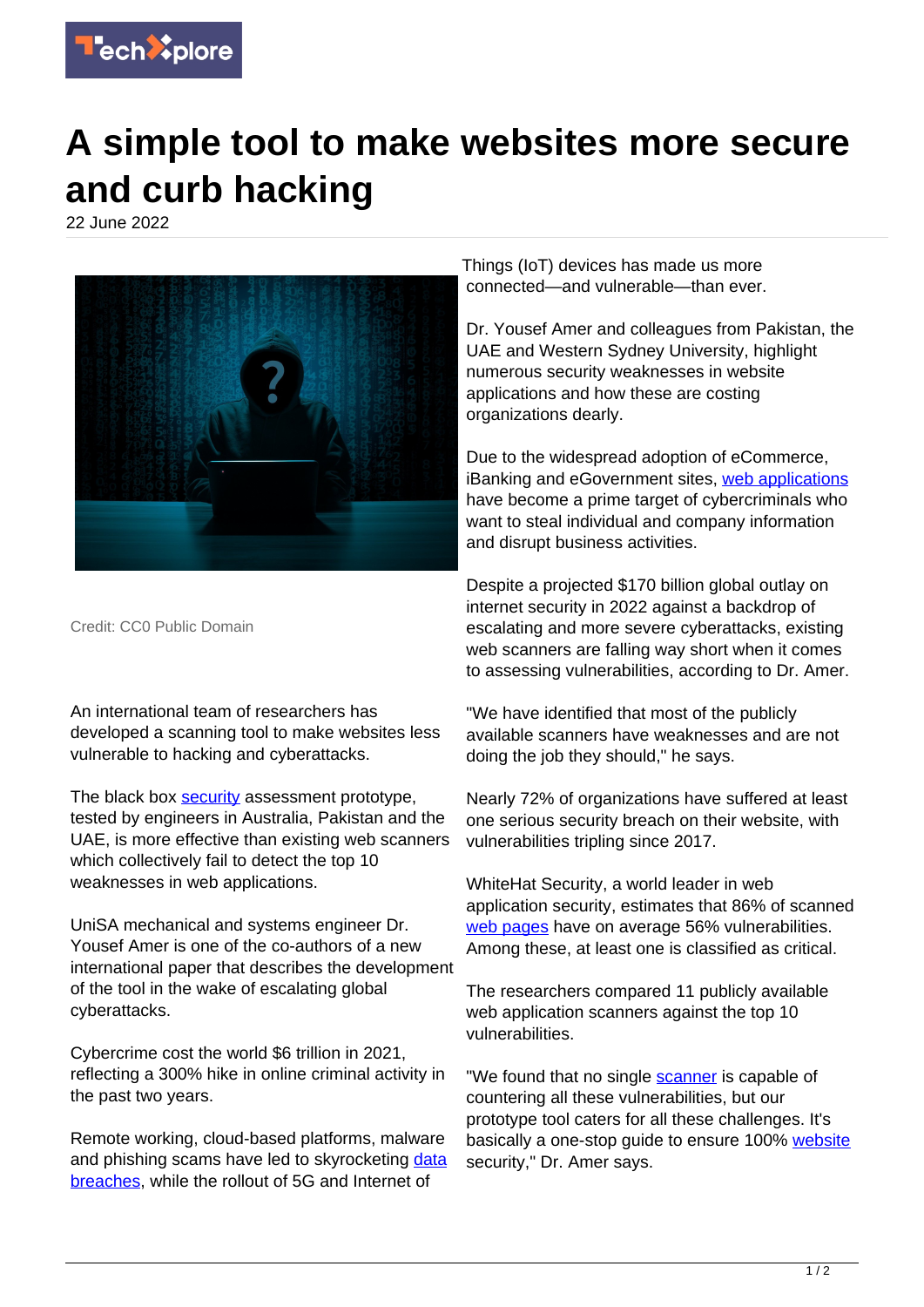

## **A simple tool to make websites more secure and curb hacking**

22 June 2022



Credit: CC0 Public Domain

An international team of researchers has developed a scanning tool to make websites less vulnerable to hacking and cyberattacks.

The black box [security](https://techxplore.com/tags/security/) assessment prototype, tested by engineers in Australia, Pakistan and the UAE, is more effective than existing web scanners which collectively fail to detect the top 10 weaknesses in web applications.

UniSA mechanical and systems engineer Dr. Yousef Amer is one of the co-authors of a new international paper that describes the development of the tool in the wake of escalating global cyberattacks.

Cybercrime cost the world \$6 trillion in 2021, reflecting a 300% hike in online criminal activity in the past two years.

Remote working, cloud-based platforms, malware and phishing scams have led to skyrocketing [data](https://techxplore.com/tags/data+breaches/) [breaches,](https://techxplore.com/tags/data+breaches/) while the rollout of 5G and Internet of

Things (IoT) devices has made us more connected—and vulnerable—than ever.

Dr. Yousef Amer and colleagues from Pakistan, the UAE and Western Sydney University, highlight numerous security weaknesses in website applications and how these are costing organizations dearly.

Due to the widespread adoption of eCommerce, iBanking and eGovernment sites, [web applications](https://techxplore.com/tags/web+applications/) have become a prime target of cybercriminals who want to steal individual and company information and disrupt business activities.

Despite a projected \$170 billion global outlay on internet security in 2022 against a backdrop of escalating and more severe cyberattacks, existing web scanners are falling way short when it comes to assessing vulnerabilities, according to Dr. Amer.

"We have identified that most of the publicly available scanners have weaknesses and are not doing the job they should," he says.

Nearly 72% of organizations have suffered at least one serious security breach on their website, with vulnerabilities tripling since 2017.

WhiteHat Security, a world leader in web application security, estimates that 86% of scanned [web pages](https://techxplore.com/tags/web+pages/) have on average 56% vulnerabilities. Among these, at least one is classified as critical.

The researchers compared 11 publicly available web application scanners against the top 10 vulnerabilities.

"We found that no single **scanner** is capable of countering all these vulnerabilities, but our prototype tool caters for all these challenges. It's basically a one-stop guide to ensure 100% [website](https://techxplore.com/tags/website/) security," Dr. Amer says.